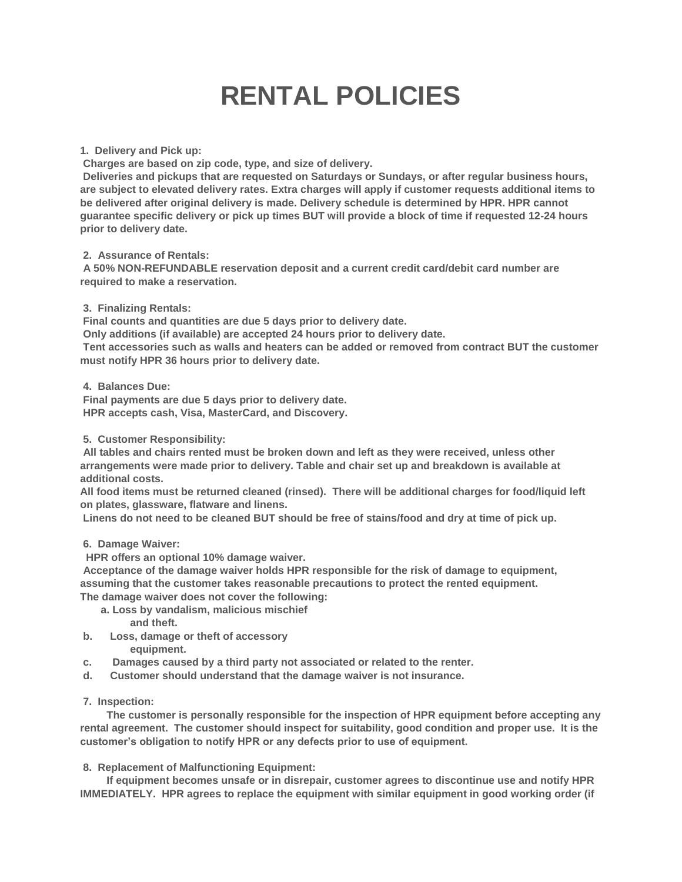## **RENTAL POLICIES**

**1. Delivery and Pick up:**

**Charges are based on zip code, type, and size of delivery.**

**Deliveries and pickups that are requested on Saturdays or Sundays, or after regular business hours, are subject to elevated delivery rates. Extra charges will apply if customer requests additional items to be delivered after original delivery is made. Delivery schedule is determined by HPR. HPR cannot guarantee specific delivery or pick up times BUT will provide a block of time if requested 12-24 hours prior to delivery date.**

**2. Assurance of Rentals:**

**A 50% NON-REFUNDABLE reservation deposit and a current credit card/debit card number are required to make a reservation.**

**3. Finalizing Rentals:**

**Final counts and quantities are due 5 days prior to delivery date.**

**Only additions (if available) are accepted 24 hours prior to delivery date.**

**Tent accessories such as walls and heaters can be added or removed from contract BUT the customer must notify HPR 36 hours prior to delivery date.**

**4. Balances Due:**

**Final payments are due 5 days prior to delivery date. HPR accepts cash, Visa, MasterCard, and Discovery.**

**5. Customer Responsibility:**

**All tables and chairs rented must be broken down and left as they were received, unless other arrangements were made prior to delivery. Table and chair set up and breakdown is available at additional costs.**

**All food items must be returned cleaned (rinsed). There will be additional charges for food/liquid left on plates, glassware, flatware and linens.**

**Linens do not need to be cleaned BUT should be free of stains/food and dry at time of pick up.**

## **6. Damage Waiver:**

**HPR offers an optional 10% damage waiver.**

**Acceptance of the damage waiver holds HPR responsible for the risk of damage to equipment, assuming that the customer takes reasonable precautions to protect the rented equipment. The damage waiver does not cover the following:**

- **a. Loss by vandalism, malicious mischief**
	- **and theft.**
- **b. Loss, damage or theft of accessory equipment.**
- **c. Damages caused by a third party not associated or related to the renter.**
- **d. Customer should understand that the damage waiver is not insurance.**

## **7. Inspection:**

**The customer is personally responsible for the inspection of HPR equipment before accepting any rental agreement. The customer should inspect for suitability, good condition and proper use. It is the customer's obligation to notify HPR or any defects prior to use of equipment.**

## **8. Replacement of Malfunctioning Equipment:**

**If equipment becomes unsafe or in disrepair, customer agrees to discontinue use and notify HPR IMMEDIATELY. HPR agrees to replace the equipment with similar equipment in good working order (if**